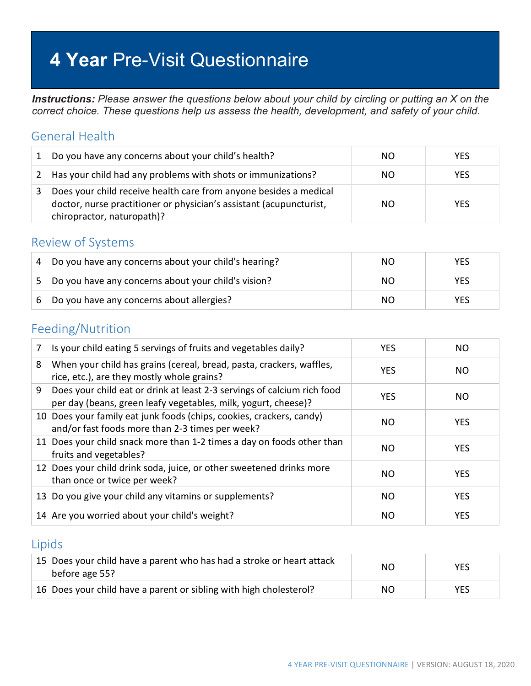# **4 Year** Pre-Visit Questionnaire

*Instructions: Please answer the questions below about your child by circling or putting an X on the correct choice. These questions help us assess the health, development, and safety of your child.*

#### General Health

| 1 | Do you have any concerns about your child's health?                                                                                                                    | NO. | <b>YES</b> |
|---|------------------------------------------------------------------------------------------------------------------------------------------------------------------------|-----|------------|
| 2 | Has your child had any problems with shots or immunizations?                                                                                                           | NO. | <b>YES</b> |
|   | Does your child receive health care from anyone besides a medical<br>doctor, nurse practitioner or physician's assistant (acupuncturist,<br>chiropractor, naturopath)? | NO. | <b>YES</b> |

#### Review of Systems

| 4 | Do you have any concerns about your child's hearing? | NO. | YES |
|---|------------------------------------------------------|-----|-----|
| 5 | Do you have any concerns about your child's vision?  | NO. | YES |
| 6 | Do you have any concerns about allergies?            | NO. | YES |

#### Feeding/Nutrition

| 7 | Is your child eating 5 servings of fruits and vegetables daily?                                                                           | <b>YES</b> | NO.        |
|---|-------------------------------------------------------------------------------------------------------------------------------------------|------------|------------|
| 8 | When your child has grains (cereal, bread, pasta, crackers, waffles,<br>rice, etc.), are they mostly whole grains?                        | <b>YES</b> | NO.        |
| 9 | Does your child eat or drink at least 2-3 servings of calcium rich food<br>per day (beans, green leafy vegetables, milk, yogurt, cheese)? | <b>YES</b> | NO.        |
|   | 10 Does your family eat junk foods (chips, cookies, crackers, candy)<br>and/or fast foods more than 2-3 times per week?                   | NO.        | <b>YES</b> |
|   | 11 Does your child snack more than 1-2 times a day on foods other than<br>fruits and vegetables?                                          | NO.        | <b>YES</b> |
|   | 12 Does your child drink soda, juice, or other sweetened drinks more<br>than once or twice per week?                                      | NO.        | <b>YES</b> |
|   | 13 Do you give your child any vitamins or supplements?                                                                                    | NO         | <b>YES</b> |
|   | 14 Are you worried about your child's weight?                                                                                             | NO.        | <b>YES</b> |
|   |                                                                                                                                           |            |            |

#### Lipids

| 15 Does your child have a parent who has had a stroke or heart attack<br>before age 55? | NΟ  | <b>YES</b> |
|-----------------------------------------------------------------------------------------|-----|------------|
| 16 Does your child have a parent or sibling with high cholesterol?                      | NO. | <b>YES</b> |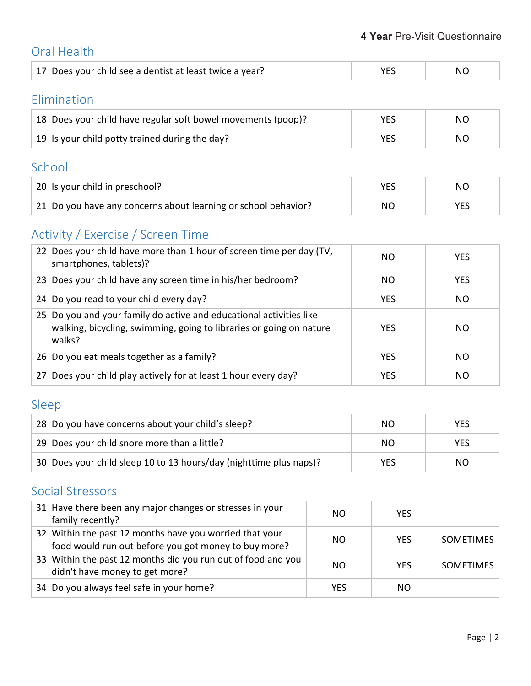### Oral Health

| 17 Does your child see a dentist at least twice a year?<br><b>NO</b> |
|----------------------------------------------------------------------|
|----------------------------------------------------------------------|

### Elimination

| 18 Does your child have regular soft bowel movements (poop)? | <b>YES</b> | NO. |
|--------------------------------------------------------------|------------|-----|
| 19 Is your child potty trained during the day?               | VFS        | NO  |

### School

| 20 Is your child in preschool?                                 |    | NΟ |
|----------------------------------------------------------------|----|----|
| 21 Do you have any concerns about learning or school behavior? | NO |    |

# Activity / Exercise / Screen Time

| 22 Does your child have more than 1 hour of screen time per day (TV,<br>smartphones, tablets)?                                                       | NΟ         | <b>YES</b> |
|------------------------------------------------------------------------------------------------------------------------------------------------------|------------|------------|
| 23 Does your child have any screen time in his/her bedroom?                                                                                          | NO.        | <b>YES</b> |
| 24 Do you read to your child every day?                                                                                                              | <b>YES</b> | NO.        |
| 25 Do you and your family do active and educational activities like<br>walking, bicycling, swimming, going to libraries or going on nature<br>walks? | <b>YES</b> | NO.        |
| 26 Do you eat meals together as a family?                                                                                                            | <b>YES</b> | NO.        |
| 27 Does your child play actively for at least 1 hour every day?                                                                                      | <b>YES</b> | NO.        |

# Sleep

| 28 Do you have concerns about your child's sleep?                  | NΟ  | YES |
|--------------------------------------------------------------------|-----|-----|
| 29 Does your child snore more than a little?                       | NΟ  | YES |
| 30 Does your child sleep 10 to 13 hours/day (nighttime plus naps)? | YES | NO. |

### Social Stressors

| 31 Have there been any major changes or stresses in your<br>family recently?                                    | NO. | <b>YFS</b> |                  |
|-----------------------------------------------------------------------------------------------------------------|-----|------------|------------------|
| 32 Within the past 12 months have you worried that your<br>food would run out before you got money to buy more? | NO. | <b>YES</b> | <b>SOMETIMES</b> |
| 33 Within the past 12 months did you run out of food and you<br>didn't have money to get more?                  | NO. | <b>YFS</b> | <b>SOMETIMES</b> |
| 34 Do you always feel safe in your home?                                                                        | YES | NO.        |                  |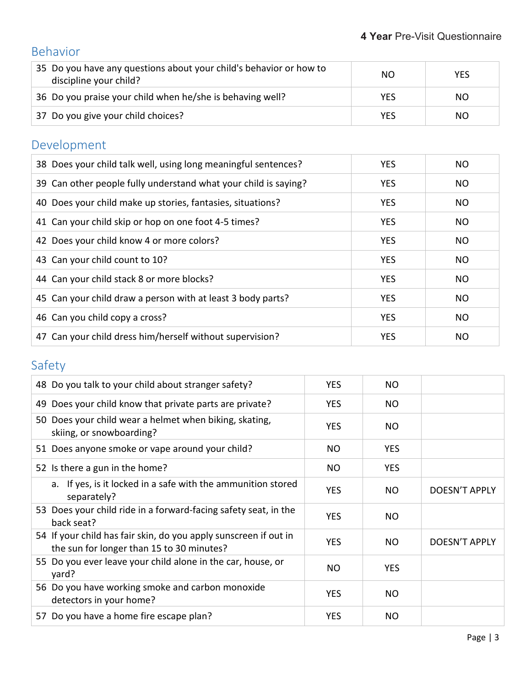# Behavior

| 35 Do you have any questions about your child's behavior or how to<br>discipline your child? | NO. | <b>YES</b> |
|----------------------------------------------------------------------------------------------|-----|------------|
| 36 Do you praise your child when he/she is behaving well?                                    | YES | NO.        |
| 37 Do you give your child choices?                                                           | YES | NO.        |

# Development

| 38 Does your child talk well, using long meaningful sentences?  | <b>YES</b> | NO.       |
|-----------------------------------------------------------------|------------|-----------|
| 39 Can other people fully understand what your child is saying? | <b>YES</b> | <b>NO</b> |
| 40 Does your child make up stories, fantasies, situations?      | <b>YES</b> | <b>NO</b> |
| 41 Can your child skip or hop on one foot 4-5 times?            | <b>YES</b> | <b>NO</b> |
| 42 Does your child know 4 or more colors?                       | <b>YES</b> | NO.       |
| 43 Can your child count to 10?                                  | <b>YES</b> | <b>NO</b> |
| 44 Can your child stack 8 or more blocks?                       | <b>YES</b> | NO.       |
| 45 Can your child draw a person with at least 3 body parts?     | <b>YES</b> | <b>NO</b> |
| 46 Can you child copy a cross?                                  | <b>YES</b> | NO.       |
| 47 Can your child dress him/herself without supervision?        | <b>YES</b> | NO        |

# Safety

| 48 Do you talk to your child about stranger safety?                                                           | <b>YES</b> | NO         |               |
|---------------------------------------------------------------------------------------------------------------|------------|------------|---------------|
| 49 Does your child know that private parts are private?                                                       | <b>YES</b> | NO.        |               |
| 50 Does your child wear a helmet when biking, skating,<br>skiing, or snowboarding?                            | <b>YES</b> | NO.        |               |
| 51 Does anyone smoke or vape around your child?                                                               | NO.        | <b>YES</b> |               |
| 52 Is there a gun in the home?                                                                                | NO.        | <b>YES</b> |               |
| a. If yes, is it locked in a safe with the ammunition stored<br>separately?                                   | <b>YES</b> | NO.        | DOESN'T APPLY |
| 53 Does your child ride in a forward-facing safety seat, in the<br>back seat?                                 | <b>YES</b> | NO.        |               |
| 54 If your child has fair skin, do you apply sunscreen if out in<br>the sun for longer than 15 to 30 minutes? | <b>YES</b> | NO.        | DOESN'T APPLY |
| 55 Do you ever leave your child alone in the car, house, or<br>yard?                                          | NO.        | <b>YES</b> |               |
| 56 Do you have working smoke and carbon monoxide<br>detectors in your home?                                   | <b>YES</b> | NO.        |               |
| 57 Do you have a home fire escape plan?                                                                       | <b>YES</b> | NO         |               |